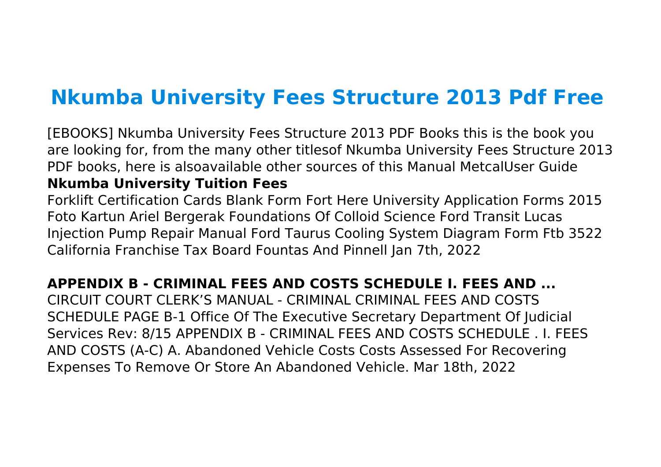# **Nkumba University Fees Structure 2013 Pdf Free**

[EBOOKS] Nkumba University Fees Structure 2013 PDF Books this is the book you are looking for, from the many other titlesof Nkumba University Fees Structure 2013 PDF books, here is alsoavailable other sources of this Manual MetcalUser Guide **Nkumba University Tuition Fees**

Forklift Certification Cards Blank Form Fort Here University Application Forms 2015 Foto Kartun Ariel Bergerak Foundations Of Colloid Science Ford Transit Lucas Injection Pump Repair Manual Ford Taurus Cooling System Diagram Form Ftb 3522 California Franchise Tax Board Fountas And Pinnell Jan 7th, 2022

# **APPENDIX B - CRIMINAL FEES AND COSTS SCHEDULE I. FEES AND ...**

CIRCUIT COURT CLERK'S MANUAL - CRIMINAL CRIMINAL FEES AND COSTS SCHEDULE PAGE B-1 Office Of The Executive Secretary Department Of Judicial Services Rev: 8/15 APPENDIX B - CRIMINAL FEES AND COSTS SCHEDULE . I. FEES AND COSTS (A-C) A. Abandoned Vehicle Costs Costs Assessed For Recovering Expenses To Remove Or Store An Abandoned Vehicle. Mar 18th, 2022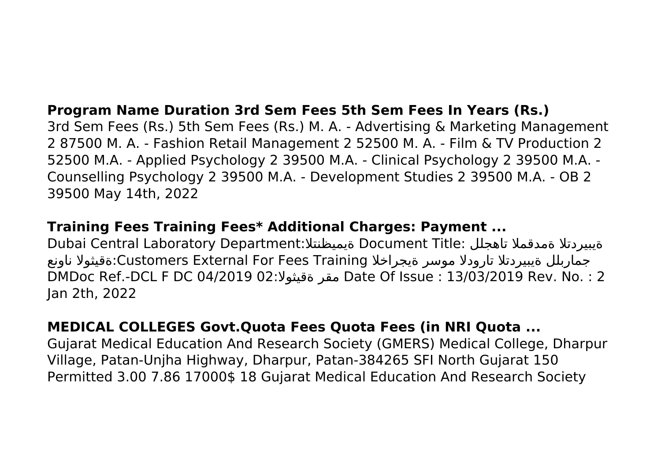# **Program Name Duration 3rd Sem Fees 5th Sem Fees In Years (Rs.)**

3rd Sem Fees (Rs.) 5th Sem Fees (Rs.) M. A. ‐ Advertising & Marketing Management 2 87500 M. A. ‐ Fashion Retail Management 2 52500 M. A. ‐ Film & TV Production 2 52500 M.A. ‐ Applied Psychology 2 39500 M.A. ‐ Clinical Psychology 2 39500 M.A. ‐ Counselling Psychology 2 39500 M.A. ‐ Development Studies 2 39500 M.A. ‐ OB 2 39500 May 14th, 2022

# **Training Fees Training Fees\* Additional Charges: Payment ...**

Dubai Central Laboratory Department:ةيميظنتلا Document Title: تاهجلل ةمدقملا ةيبيردتلا جماربلل ةيبيردتلا تارودلا موسر ةيجراخلا Training Fees For External Customers:ةقيثولا ناونع DMDoc Ref.-DCL F DC 04/2019 02:ةقيثولا مقر Date Of Issue : 13/03/2019 Rev. No. : 2 Jan 2th, 2022

# **MEDICAL COLLEGES Govt.Quota Fees Quota Fees (in NRI Quota ...**

Gujarat Medical Education And Research Society (GMERS) Medical College, Dharpur Village, Patan-Unjha Highway, Dharpur, Patan-384265 SFI North Gujarat 150 Permitted 3.00 7.86 17000\$ 18 Gujarat Medical Education And Research Society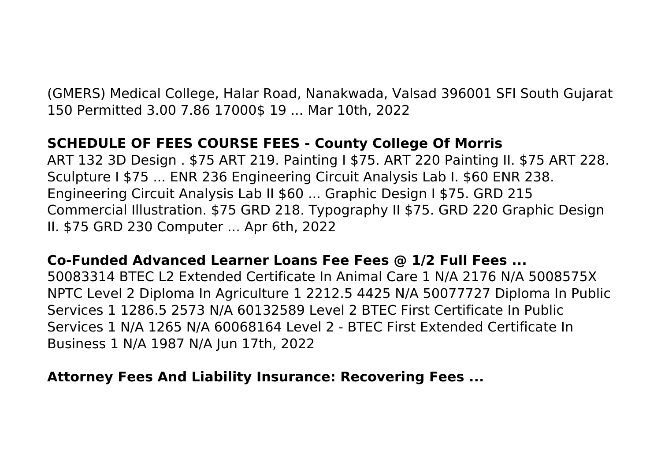(GMERS) Medical College, Halar Road, Nanakwada, Valsad 396001 SFI South Gujarat 150 Permitted 3.00 7.86 17000\$ 19 ... Mar 10th, 2022

# **SCHEDULE OF FEES COURSE FEES - County College Of Morris**

ART 132 3D Design . \$75 ART 219. Painting I \$75. ART 220 Painting II. \$75 ART 228. Sculpture I \$75 ... ENR 236 Engineering Circuit Analysis Lab I. \$60 ENR 238. Engineering Circuit Analysis Lab II \$60 ... Graphic Design I \$75. GRD 215 Commercial Illustration. \$75 GRD 218. Typography II \$75. GRD 220 Graphic Design II. \$75 GRD 230 Computer ... Apr 6th, 2022

# **Co-Funded Advanced Learner Loans Fee Fees @ 1/2 Full Fees ...**

50083314 BTEC L2 Extended Certificate In Animal Care 1 N/A 2176 N/A 5008575X NPTC Level 2 Diploma In Agriculture 1 2212.5 4425 N/A 50077727 Diploma In Public Services 1 1286.5 2573 N/A 60132589 Level 2 BTEC First Certificate In Public Services 1 N/A 1265 N/A 60068164 Level 2 - BTEC First Extended Certificate In Business 1 N/A 1987 N/A Jun 17th, 2022

# **Attorney Fees And Liability Insurance: Recovering Fees ...**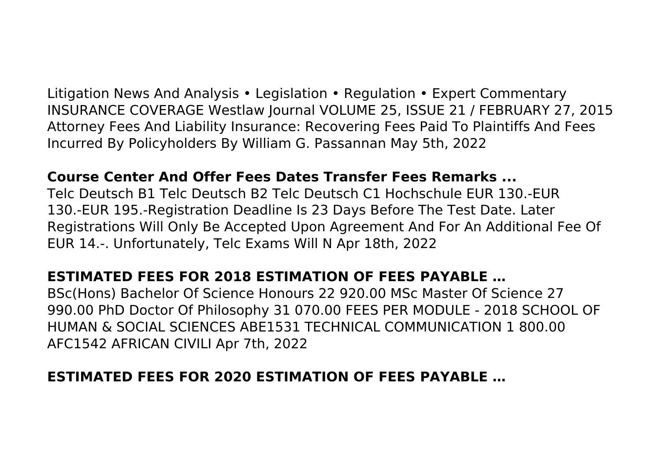Litigation News And Analysis • Legislation • Regulation • Expert Commentary INSURANCE COVERAGE Westlaw Journal VOLUME 25, ISSUE 21 / FEBRUARY 27, 2015 Attorney Fees And Liability Insurance: Recovering Fees Paid To Plaintiffs And Fees Incurred By Policyholders By William G. Passannan May 5th, 2022

#### **Course Center And Offer Fees Dates Transfer Fees Remarks ...**

Telc Deutsch B1 Telc Deutsch B2 Telc Deutsch C1 Hochschule EUR 130.-EUR 130.-EUR 195.-Registration Deadline Is 23 Days Before The Test Date. Later Registrations Will Only Be Accepted Upon Agreement And For An Additional Fee Of EUR 14.-. Unfortunately, Telc Exams Will N Apr 18th, 2022

# **ESTIMATED FEES FOR 2018 ESTIMATION OF FEES PAYABLE …**

BSc(Hons) Bachelor Of Science Honours 22 920.00 MSc Master Of Science 27 990.00 PhD Doctor Of Philosophy 31 070.00 FEES PER MODULE - 2018 SCHOOL OF HUMAN & SOCIAL SCIENCES ABE1531 TECHNICAL COMMUNICATION 1 800.00 AFC1542 AFRICAN CIVILI Apr 7th, 2022

# **ESTIMATED FEES FOR 2020 ESTIMATION OF FEES PAYABLE …**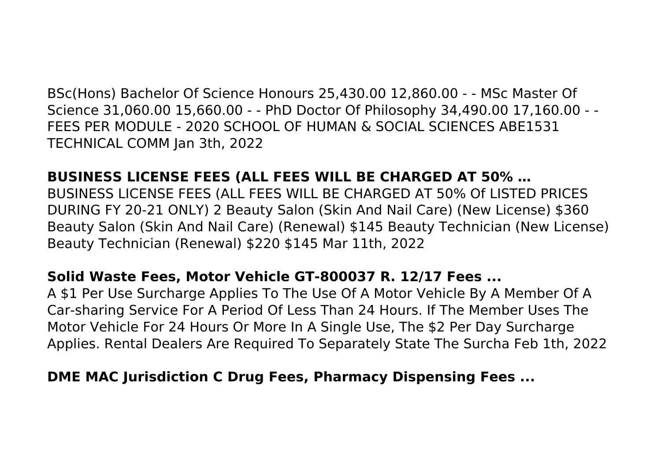BSc(Hons) Bachelor Of Science Honours 25,430.00 12,860.00 - - MSc Master Of Science 31,060.00 15,660.00 - - PhD Doctor Of Philosophy 34,490.00 17,160.00 - - FEES PER MODULE - 2020 SCHOOL OF HUMAN & SOCIAL SCIENCES ABE1531 TECHNICAL COMM Jan 3th, 2022

#### **BUSINESS LICENSE FEES (ALL FEES WILL BE CHARGED AT 50% …**

BUSINESS LICENSE FEES (ALL FEES WILL BE CHARGED AT 50% Of LISTED PRICES DURING FY 20-21 ONLY) 2 Beauty Salon (Skin And Nail Care) (New License) \$360 Beauty Salon (Skin And Nail Care) (Renewal) \$145 Beauty Technician (New License) Beauty Technician (Renewal) \$220 \$145 Mar 11th, 2022

#### **Solid Waste Fees, Motor Vehicle GT-800037 R. 12/17 Fees ...**

A \$1 Per Use Surcharge Applies To The Use Of A Motor Vehicle By A Member Of A Car-sharing Service For A Period Of Less Than 24 Hours. If The Member Uses The Motor Vehicle For 24 Hours Or More In A Single Use, The \$2 Per Day Surcharge Applies. Rental Dealers Are Required To Separately State The Surcha Feb 1th, 2022

#### **DME MAC Jurisdiction C Drug Fees, Pharmacy Dispensing Fees ...**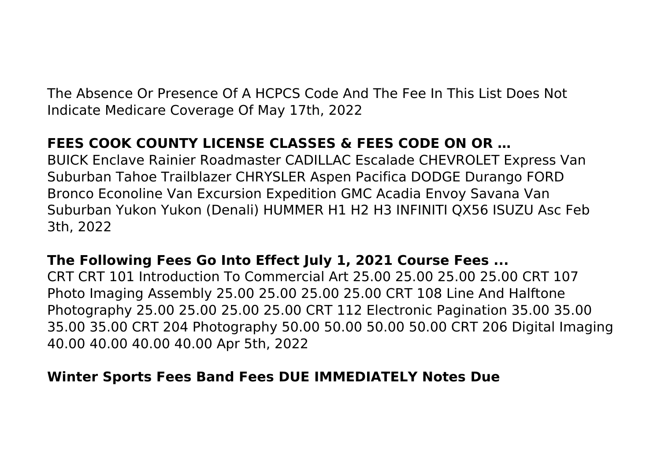The Absence Or Presence Of A HCPCS Code And The Fee In This List Does Not Indicate Medicare Coverage Of May 17th, 2022

# **FEES COOK COUNTY LICENSE CLASSES & FEES CODE ON OR …**

BUICK Enclave Rainier Roadmaster CADILLAC Escalade CHEVROLET Express Van Suburban Tahoe Trailblazer CHRYSLER Aspen Pacifica DODGE Durango FORD Bronco Econoline Van Excursion Expedition GMC Acadia Envoy Savana Van Suburban Yukon Yukon (Denali) HUMMER H1 H2 H3 INFINITI QX56 ISUZU Asc Feb 3th, 2022

# **The Following Fees Go Into Effect July 1, 2021 Course Fees ...**

CRT CRT 101 Introduction To Commercial Art 25.00 25.00 25.00 25.00 CRT 107 Photo Imaging Assembly 25.00 25.00 25.00 25.00 CRT 108 Line And Halftone Photography 25.00 25.00 25.00 25.00 CRT 112 Electronic Pagination 35.00 35.00 35.00 35.00 CRT 204 Photography 50.00 50.00 50.00 50.00 CRT 206 Digital Imaging 40.00 40.00 40.00 40.00 Apr 5th, 2022

# **Winter Sports Fees Band Fees DUE IMMEDIATELY Notes Due**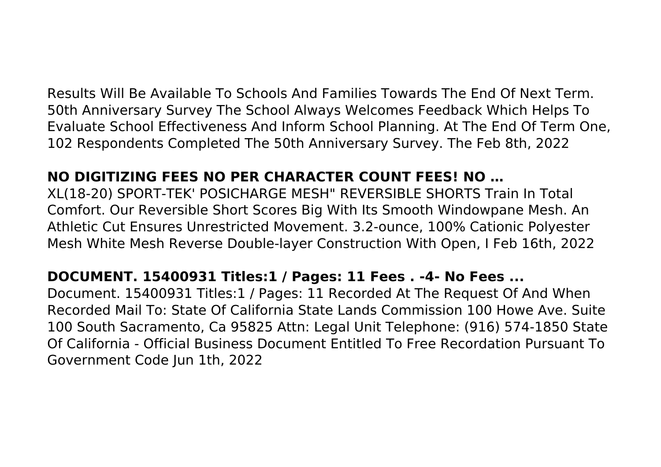Results Will Be Available To Schools And Families Towards The End Of Next Term. 50th Anniversary Survey The School Always Welcomes Feedback Which Helps To Evaluate School Effectiveness And Inform School Planning. At The End Of Term One, 102 Respondents Completed The 50th Anniversary Survey. The Feb 8th, 2022

## **NO DIGITIZING FEES NO PER CHARACTER COUNT FEES! NO …**

XL(18-20) SPORT-TEK' POSICHARGE MESH" REVERSIBLE SHORTS Train In Total Comfort. Our Reversible Short Scores Big With Its Smooth Windowpane Mesh. An Athletic Cut Ensures Unrestricted Movement. 3.2-ounce, 100% Cationic Polyester Mesh White Mesh Reverse Double-layer Construction With Open, I Feb 16th, 2022

# **DOCUMENT. 15400931 Titles:1 / Pages: 11 Fees . -4- No Fees ...**

Document. 15400931 Titles:1 / Pages: 11 Recorded At The Request Of And When Recorded Mail To: State Of California State Lands Commission 100 Howe Ave. Suite 100 South Sacramento, Ca 95825 Attn: Legal Unit Telephone: (916) 574-1850 State Of California - Official Business Document Entitled To Free Recordation Pursuant To Government Code Jun 1th, 2022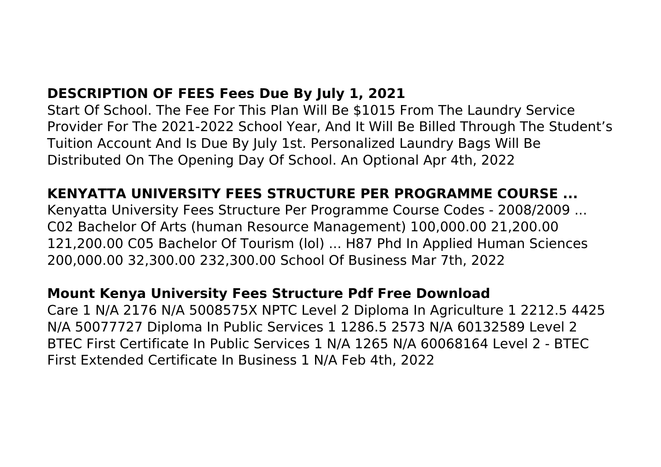# **DESCRIPTION OF FEES Fees Due By July 1, 2021**

Start Of School. The Fee For This Plan Will Be \$1015 From The Laundry Service Provider For The 2021-2022 School Year, And It Will Be Billed Through The Student's Tuition Account And Is Due By July 1st. Personalized Laundry Bags Will Be Distributed On The Opening Day Of School. An Optional Apr 4th, 2022

## **KENYATTA UNIVERSITY FEES STRUCTURE PER PROGRAMME COURSE ...**

Kenyatta University Fees Structure Per Programme Course Codes - 2008/2009 ... C02 Bachelor Of Arts (human Resource Management) 100,000.00 21,200.00 121,200.00 C05 Bachelor Of Tourism (lol) ... H87 Phd In Applied Human Sciences 200,000.00 32,300.00 232,300.00 School Of Business Mar 7th, 2022

#### **Mount Kenya University Fees Structure Pdf Free Download**

Care 1 N/A 2176 N/A 5008575X NPTC Level 2 Diploma In Agriculture 1 2212.5 4425 N/A 50077727 Diploma In Public Services 1 1286.5 2573 N/A 60132589 Level 2 BTEC First Certificate In Public Services 1 N/A 1265 N/A 60068164 Level 2 - BTEC First Extended Certificate In Business 1 N/A Feb 4th, 2022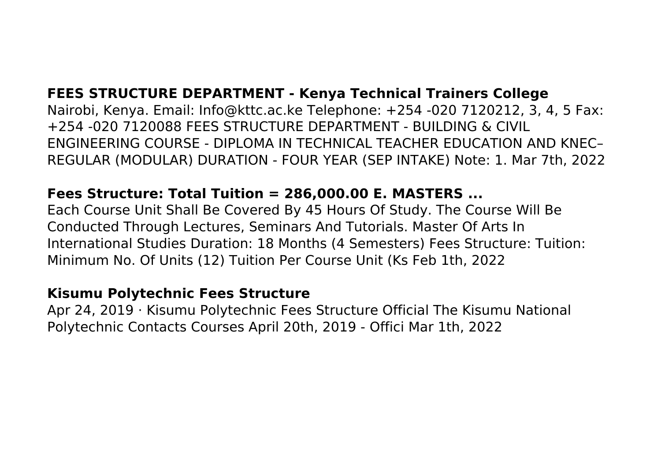# **FEES STRUCTURE DEPARTMENT - Kenya Technical Trainers College**

Nairobi, Kenya. Email: Info@kttc.ac.ke Telephone: +254 -020 7120212, 3, 4, 5 Fax: +254 -020 7120088 FEES STRUCTURE DEPARTMENT - BUILDING & CIVIL ENGINEERING COURSE - DIPLOMA IN TECHNICAL TEACHER EDUCATION AND KNEC– REGULAR (MODULAR) DURATION - FOUR YEAR (SEP INTAKE) Note: 1. Mar 7th, 2022

### **Fees Structure: Total Tuition = 286,000.00 E. MASTERS ...**

Each Course Unit Shall Be Covered By 45 Hours Of Study. The Course Will Be Conducted Through Lectures, Seminars And Tutorials. Master Of Arts In International Studies Duration: 18 Months (4 Semesters) Fees Structure: Tuition: Minimum No. Of Units (12) Tuition Per Course Unit (Ks Feb 1th, 2022

#### **Kisumu Polytechnic Fees Structure**

Apr 24, 2019 · Kisumu Polytechnic Fees Structure Official The Kisumu National Polytechnic Contacts Courses April 20th, 2019 - Offici Mar 1th, 2022